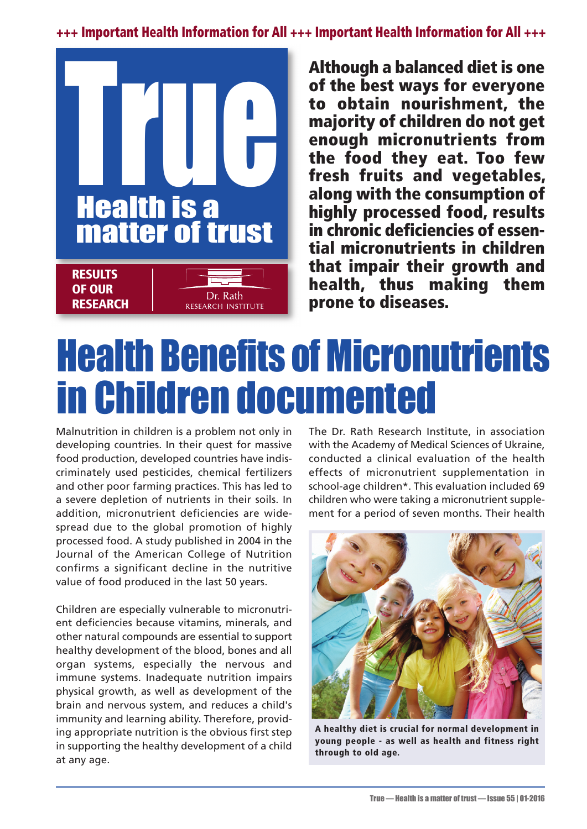**+++ Important Health Information for All +++ Important Health Information for All +++**



**Although a balanced diet is one of the best ways for everyone to obtain nourishment, the majority of children do not get enough micronutrients from the food they eat. Too few fresh fruits and vegetables, along with the consumption of highly processed food, results in chronic deficiencies of essential micronutrients in children that impair their growth and health, thus making them prone to diseases.**

## Health Benefits of Micronutrients in Children documented

Malnutrition in children is a problem not only in developing countries. In their quest for massive food production, developed countries have indiscriminately used pesticides, chemical fertilizers and other poor farming practices. This has led to a severe depletion of nutrients in their soils. In addition, micronutrient deficiencies are widespread due to the global promotion of highly processed food. A study published in 2004 in the Journal of the American College of Nutrition confirms a significant decline in the nutritive value of food produced in the last 50 years.

Children are especially vulnerable to micronutrient deficiencies because vitamins, minerals, and other natural compounds are essential to support healthy development of the blood, bones and all organ systems, especially the nervous and immune systems. Inadequate nutrition impairs physical growth, as well as development of the brain and nervous system, and reduces a child's immunity and learning ability. Therefore, providing appropriate nutrition is the obvious first step in supporting the healthy development of a child at any age.

The Dr. Rath Research Institute, in association with the Academy of Medical Sciences of Ukraine, conducted a clinical evaluation of the health effects of micronutrient supplementation in school-age children\*. This evaluation included 69 children who were taking a micronutrient supplement for a period of seven months. Their health



**A healthy diet is crucial for normal development in young people - as well as health and fitness right through to old age.**